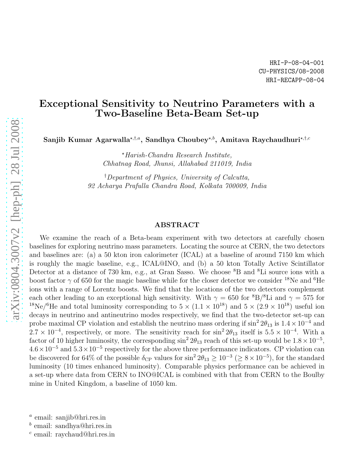## Exceptional Sensitivity to Neutrino Parameters with a Two-Baseline Beta-Beam Set-up

Sanjib Kumar Agarwalla<sup>\*,†,a</sup>, Sandhya Choubey<sup>\*,b</sup>, Amitava Raychaudhuri<sup>\*,†,c</sup>

<sup>⋆</sup>Harish-Chandra Research Institute, Chhatnag Road, Jhunsi, Allahabad 211019, India

†Department of Physics, University of Calcutta, 92 Acharya Prafulla Chandra Road, Kolkata 700009, India

#### ABSTRACT

We examine the reach of a Beta-beam experiment with two detectors at carefully chosen baselines for exploring neutrino mass parameters. Locating the source at CERN, the two detectors and baselines are: (a) a 50 kton iron calorimeter (ICAL) at a baseline of around 7150 km which is roughly the magic baseline, e.g., ICAL@INO, and (b) a 50 kton Totally Active Scintillator Detector at a distance of 730 km, e.g., at Gran Sasso. We choose <sup>8</sup>B and <sup>8</sup>Li source ions with a boost factor  $\gamma$  of 650 for the magic baseline while for the closer detector we consider <sup>18</sup>Ne and <sup>6</sup>He ions with a range of Lorentz boosts. We find that the locations of the two detectors complement each other leading to an exceptional high sensitivity. With  $\gamma = 650$  for  ${}^{8}B/{}^{8}Li$  and  $\gamma = 575$  for <sup>18</sup>Ne/<sup>6</sup>He and total luminosity corresponding to  $5 \times (1.1 \times 10^{18})$  and  $5 \times (2.9 \times 10^{18})$  useful ion decays in neutrino and antineutrino modes respectively, we find that the two-detector set-up can probe maximal CP violation and establish the neutrino mass ordering if  $\sin^2 2\theta_{13}$  is  $1.4 \times 10^{-4}$  and  $2.7 \times 10^{-4}$ , respectively, or more. The sensitivity reach for  $\sin^2 2\theta_{13}$  itself is  $5.5 \times 10^{-4}$ . With a factor of 10 higher luminosity, the corresponding  $\sin^2 2\theta_{13}$  reach of this set-up would be  $1.8 \times 10^{-5}$ ,  $4.6\times10^{-5}$  and  $5.3\times10^{-5}$  respectively for the above three performance indicators. CP violation can be discovered for 64% of the possible  $\delta_{\rm CP}$  values for  $\sin^2 2\theta_{13} \geq 10^{-3}$  ( $\geq 8 \times 10^{-5}$ ), for the standard luminosity (10 times enhanced luminosity). Comparable physics performance can be achieved in a set-up where data from CERN to INO@ICAL is combined with that from CERN to the Boulby mine in United Kingdom, a baseline of 1050 km.

a email: sanjib@hri.res.in

b email: sandhya@hri.res.in

c email: raychaud@hri.res.in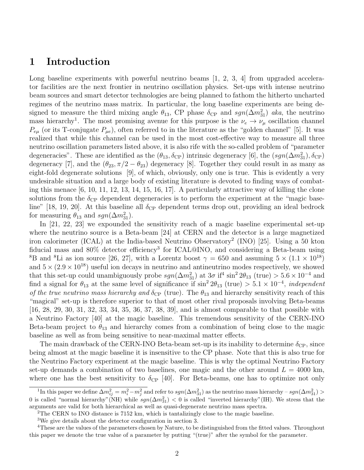# 1 Introduction

Long baseline experiments with powerful neutrino beams [1, 2, 3, 4] from upgraded accelerator facilities are the next frontier in neutrino oscillation physics. Set-ups with intense neutrino beam sources and smart detector technologies are being planned to fathom the hitherto uncharted regimes of the neutrino mass matrix. In particular, the long baseline experiments are being designed to measure the third mixing angle  $\theta_{13}$ , CP phase  $\delta_{\text{CP}}$  and  $sgn(\Delta m_{31}^2)$  aka, the neutrino mass hierarchy<sup>1</sup>. The most promising avenue for this purpose is the  $\nu_e \rightarrow \nu_\mu$  oscillation channel  $P_{e\mu}$  (or its T-conjugate  $P_{\mu e}$ ), often referred to in the literature as the "golden channel" [5]. It was realized that while this channel can be used in the most cost-effective way to measure all three neutrino oscillation parameters listed above, it is also rife with the so-called problem of "parameter degeneracies". These are identified as the  $(\theta_{13}, \delta_{\text{CP}})$  intrinsic degeneracy [6], the  $(sgn(\Delta m_{31}^2), \delta_{\text{CP}})$ degeneracy [7], and the  $(\theta_{23}, \pi/2 - \theta_{23})$  degeneracy [8]. Together they could result in as many as eight-fold degenerate solutions [9], of which, obviously, only one is true. This is evidently a very undesirable situation and a large body of existing literature is devoted to finding ways of combating this menace [6, 10, 11, 12, 13, 14, 15, 16, 17]. A particularly attractive way of killing the clone solutions from the  $\delta_{\text{CP}}$  dependent degeneracies is to perform the experiment at the "magic baseline" [18, 19, 20]. At this baseline all  $\delta_{\text{CP}}$  dependent terms drop out, providing an ideal bedrock for measuring  $\theta_{13}$  and  $sgn(\Delta m_{31}^2)$ .

In [21, 22, 23] we expounded the sensitivity reach of a magic baseline experimental set-up where the neutrino source is a Beta-beam [24] at CERN and the detector is a large magnetized iron calorimeter (ICAL) at the India-based Neutrino Observatory<sup>2</sup> (INO) [25]. Using a 50 kton fiducial mass and 80% detector efficiency<sup>3</sup> for ICAL@INO, and considering a Beta-beam using <sup>8</sup>B and <sup>8</sup>Li as ion source [26, 27], with a Lorentz boost  $\gamma = 650$  and assuming  $5 \times (1.1 \times 10^{18})$ and  $5 \times (2.9 \times 10^{18})$  useful ion decays in neutrino and antineutrino modes respectively, we showed that this set-up could unambiguously probe  $sgn(\Delta m_{31}^2)$  at  $3\sigma$  if<sup>4</sup> sin<sup>2</sup>  $2\theta_{13}$  (true) >  $5.6 \times 10^{-4}$  and find a signal for  $\theta_{13}$  at the same level of significance if  $\sin^2 2\theta_{13}$  (true) > 5.1 × 10<sup>-4</sup>, independent of the true neutrino mass hierarchy and  $\delta_{\text{CP}}$  (true). The  $\theta_{13}$  and hierarchy sensitivity reach of this "magical" set-up is therefore superior to that of most other rival proposals involving Beta-beams [16, 28, 29, 30, 31, 32, 33, 34, 35, 36, 37, 38, 39], and is almost comparable to that possible with a Neutrino Factory [40] at the magic baseline. This tremendous sensitivity of the CERN-INO Beta-beam project to  $\theta_{13}$  and hierarchy comes from a combination of being close to the magic baseline as well as from being sensitive to near-maximal matter effects.

The main drawback of the CERN-INO Beta-beam set-up is its inability to determine  $\delta_{\rm CP}$ , since being almost at the magic baseline it is insensitive to the CP phase. Note that this is also true for the Neutrino Factory experiment at the magic baseline. This is why the optimal Neutrino Factory set-up demands a combination of two baselines, one magic and the other around  $L = 4000 \text{ km}$ , where one has the best sensitivity to  $\delta_{\text{CP}}$  [40]. For Beta-beams, one has to optimize not only

<sup>&</sup>lt;sup>1</sup>In this paper we define  $\Delta m_{ij}^2 = m_i^2 - m_j^2$  and refer to  $sgn(\Delta m_{31}^2)$  as the neutrino mass hierarchy –  $sgn(\Delta m_{31}^2)$ 0 is called "normal hierarchy"(NH) while  $sgn(\Delta m_{31}^2)$  < 0 is called "inverted hierarchy"(IH). We stress that the arguments are valid for both hierarchical as well as quasi-degenerate neutrino mass spectra.

<sup>&</sup>lt;sup>2</sup>The CERN to INO distance is 7152 km, which is tantalizingly close to the magic baseline.

<sup>3</sup>We give details about the detector configuration in section 3.

<sup>&</sup>lt;sup>4</sup>These are the values of the parameters chosen by Nature, to be distinguished from the fitted values. Throughout this paper we denote the true value of a parameter by putting "(true)" after the symbol for the parameter.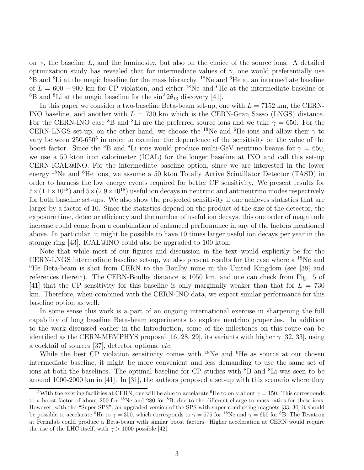on  $\gamma$ , the baseline L, and the luminosity, but also on the choice of the source ions. A detailed optimization study has revealed that for intermediate values of  $\gamma$ , one would preferentially use <sup>8</sup>B and <sup>8</sup>Li at the magic baseline for the mass hierarchy, <sup>18</sup>Ne and <sup>6</sup>He at an intermediate baseline of  $L = 600 - 900$  km for CP violation, and either <sup>18</sup>Ne and <sup>6</sup>He at the intermediate baseline or <sup>8</sup>B and <sup>8</sup>Li at the magic baseline for the  $\sin^2 2\theta_{13}$  discovery [41].

In this paper we consider a two-baseline Beta-beam set-up, one with  $L = 7152$  km, the CERN-INO baseline, and another with  $L = 730$  km which is the CERN-Gran Sasso (LNGS) distance. For the CERN-INO case <sup>8</sup>B and <sup>8</sup>Li are the preferred source ions and we take  $\gamma = 650$ . For the CERN-LNGS set-up, on the other hand, we choose the <sup>18</sup>Ne and <sup>6</sup>He ions and allow their  $\gamma$  to vary between 250-650<sup>5</sup> in order to examine the dependence of the sensitivity on the value of the boost factor. Since the <sup>8</sup>B and <sup>8</sup>Li ions would produce multi-GeV neutrino beams for  $\gamma = 650$ , we use a 50 kton iron calorimeter (ICAL) for the longer baseline at INO and call this set-up CERN-ICAL@INO. For the intermediate baseline option, since we are interested in the lower energy <sup>18</sup>Ne and <sup>6</sup>He ions, we assume a 50 kton Totally Active Scintillator Detector (TASD) in order to harness the low energy events required for better CP sensitivity. We present results for  $5\times(1.1\times10^{18})$  and  $5\times(2.9\times10^{18})$  useful ion decays in neutrino and antineutrino modes respectively for both baseline set-ups. We also show the projected sensitivity if one achieves statistics that are larger by a factor of 10. Since the statistics depend on the product of the size of the detector, the exposure time, detector efficiency and the number of useful ion decays, this one order of magnitude increase could come from a combination of enhanced performance in any of the factors mentioned above. In particular, it might be possible to have 10 times larger useful ion decays per year in the storage ring [43]. ICAL@INO could also be upgraded to 100 kton.

Note that while most of our figures and discussion in the text would explicitly be for the CERN-LNGS intermediate baseline set-up, we also present results for the case where a <sup>18</sup>Ne and <sup>6</sup>He Beta-beam is shot from CERN to the Boulby mine in the United Kingdom (see [38] and references therein). The CERN-Boulby distance is 1050 km, and one can check from Fig. 5 of [41] that the CP sensitivity for this baseline is only marginally weaker than that for  $L = 730$ km. Therefore, when combined with the CERN-INO data, we expect similar performance for this baseline option as well.

In some sense this work is a part of an ongoing international exercise in sharpening the full capability of long baseline Beta-beam experiments to explore neutrino properties. In addition to the work discussed earlier in the Introduction, some of the milestones on this route can be identified as the CERN-MEMPHYS proposal [16, 28, 29], its variants with higher  $\gamma$  [32, 33], using a cocktail of sources [37], detector options, etc.

While the best CP violation sensitivity comes with <sup>18</sup>Ne and <sup>6</sup>He as source at our chosen intermediate baseline, it might be more convenient and less demanding to use the same set of ions at both the baselines. The optimal baseline for CP studies with  ${}^{8}B$  and  ${}^{8}Li$  was seen to be around 1000-2000 km in [41]. In [31], the authors proposed a set-up with this scenario where they

<sup>&</sup>lt;sup>5</sup>With the existing facilities at CERN, one will be able to accelarate <sup>6</sup>He to only about  $\gamma = 150$ . This corresponds to a boost factor of about 250 for  $18$ Ne and 280 for  $8B$ , due to the different charge to mass ratios for these ions. However, with the "Super-SPS", an upgraded version of the SPS with super-conducting magnets [33, 30] it should be possible to accelarate <sup>6</sup>He to  $\gamma = 350$ , which corresponds to  $\gamma = 575$  for <sup>18</sup>Ne and  $\gamma = 650$  for <sup>8</sup>B. The Tevatron at Fermilab could produce a Beta-beam with similar boost factors. Higher acceleration at CERN would require the use of the LHC itself, with  $\gamma > 1000$  possible [42].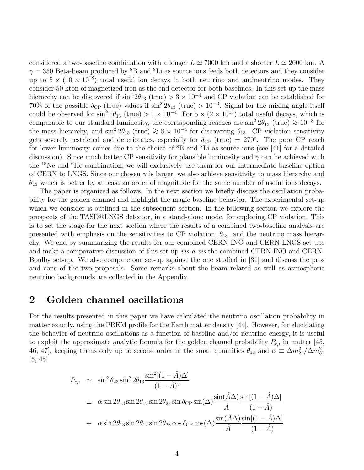considered a two-baseline combination with a longer  $L \approx 7000$  km and a shorter  $L \approx 2000$  km. A  $\gamma = 350$  Beta-beam produced by <sup>8</sup>B and <sup>8</sup>Li as source ions feeds both detectors and they consider up to  $5 \times (10 \times 10^{18})$  total useful ion decays in both neutrino and antineutrino modes. They consider 50 kton of magnetized iron as the end detector for both baselines. In this set-up the mass hierarchy can be discovered if  $\sin^2 2\theta_{13}$  (true) > 3 × 10<sup>-4</sup> and CP violation can be established for 70% of the possible  $\delta_{\rm CP}$  (true) values if  $\sin^2 2\theta_{13}$  (true) > 10<sup>-3</sup>. Signal for the mixing angle itself could be observed for  $\sin^2 2\theta_{13}$  (true) >  $1 \times 10^{-4}$ . For  $5 \times (2 \times 10^{18})$  total useful decays, which is comparable to our standard luminosity, the corresponding reaches are  $\sin^2 2\theta_{13}$  (true)  $\gtrsim 10^{-3}$  for the mass hierarchy, and  $\sin^2 2\theta_{13}$  (true)  $\approx 8 \times 10^{-4}$  for discovering  $\theta_{13}$ . CP violation sensitivity gets severely restricted and deteriorates, especially for  $\delta_{\text{CP}}$  (true) = 270°. The poor CP reach for lower luminosity comes due to the choice of  ${}^{8}B$  and  ${}^{8}Li$  as source ions (see [41] for a detailed discussion). Since much better CP sensitivity for plausible luminosity and  $\gamma$  can be achieved with the <sup>18</sup>Ne and <sup>6</sup>He combination, we will exclusively use them for our intermediate baseline option of CERN to LNGS. Since our chosen  $\gamma$  is larger, we also achieve sensitivity to mass hierarchy and  $\theta_{13}$  which is better by at least an order of magnitude for the same number of useful ions decays.

The paper is organized as follows. In the next section we briefly discuss the oscillation probability for the golden channel and highlight the magic baseline behavior. The experimental set-up which we consider is outlined in the subsequent section. In the following section we explore the prospects of the TASD@LNGS detector, in a stand-alone mode, for exploring CP violation. This is to set the stage for the next section where the results of a combined two-baseline analysis are presented with emphasis on the sensitivities to CP violation,  $\theta_{13}$ , and the neutrino mass hierarchy. We end by summarizing the results for our combined CERN-INO and CERN-LNGS set-ups and make a comparative discussion of this set-up vis-a-vis the combined CERN-INO and CERN-Boulby set-up. We also compare our set-up against the one studied in [31] and discuss the pros and cons of the two proposals. Some remarks about the beam related as well as atmospheric neutrino backgrounds are collected in the Appendix.

### 2 Golden channel oscillations

For the results presented in this paper we have calculated the neutrino oscillation probability in matter exactly, using the PREM profile for the Earth matter density [44]. However, for elucidating the behavior of neutrino oscillations as a function of baseline and/or neutrino energy, it is useful to exploit the approximate analytic formula for the golden channel probability  $P_{e\mu}$  in matter [45,] 46, 47], keeping terms only up to second order in the small quantities  $\theta_{13}$  and  $\alpha = \Delta m_{21}^2 / \Delta m_{31}^2$ [5, 48]

$$
P_{e\mu} \simeq \sin^2 \theta_{23} \sin^2 2\theta_{13} \frac{\sin^2[(1-\hat{A})\Delta]}{(1-\hat{A})^2}
$$
  
\n
$$
\pm \alpha \sin 2\theta_{13} \sin 2\theta_{12} \sin 2\theta_{23} \sin \delta_{\text{CP}} \sin(\Delta) \frac{\sin(\hat{A}\Delta)}{\hat{A}} \frac{\sin[(1-\hat{A})\Delta]}{(1-\hat{A})}
$$
  
\n
$$
+ \alpha \sin 2\theta_{13} \sin 2\theta_{12} \sin 2\theta_{23} \cos \delta_{\text{CP}} \cos(\Delta) \frac{\sin(\hat{A}\Delta)}{\hat{A}} \frac{\sin[(1-\hat{A})\Delta]}{(1-\hat{A})}
$$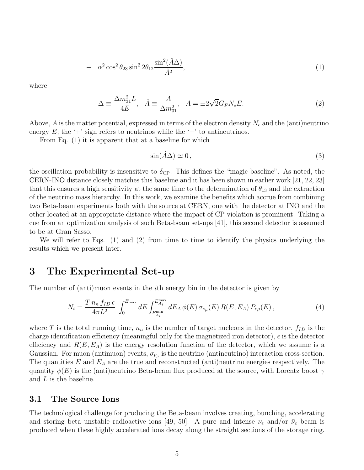$$
+\quad \alpha^2\cos^2\theta_{23}\sin^22\theta_{12}\frac{\sin^2(\hat{A}\Delta)}{\hat{A}^2},\tag{1}
$$

where

$$
\Delta \equiv \frac{\Delta m_{31}^2 L}{4E}, \quad \hat{A} \equiv \frac{A}{\Delta m_{31}^2}, \quad A = \pm 2\sqrt{2}G_F N_e E. \tag{2}
$$

Above,  $A$  is the matter potential, expressed in terms of the electron density  $N_e$  and the (anti)neutrino energy  $E$ ; the '+' sign refers to neutrinos while the ' $-$ ' to antineutrinos.

From Eq. (1) it is apparent that at a baseline for which

$$
\sin(\hat{A}\Delta) \simeq 0,\tag{3}
$$

the oscillation probability is insensitive to  $\delta_{\text{CP}}$ . This defines the "magic baseline". As noted, the CERN-INO distance closely matches this baseline and it has been shown in earlier work [21, 22, 23] that this ensures a high sensitivity at the same time to the determination of  $\theta_{13}$  and the extraction of the neutrino mass hierarchy. In this work, we examine the benefits which accrue from combining two Beta-beam experiments both with the source at CERN, one with the detector at INO and the other located at an appropriate distance where the impact of CP violation is prominent. Taking a cue from an optimization analysis of such Beta-beam set-ups [41], this second detector is assumed to be at Gran Sasso.

We will refer to Eqs. (1) and (2) from time to time to identify the physics underlying the results which we present later.

## 3 The Experimental Set-up

The number of (anti)muon events in the ith energy bin in the detector is given by

$$
N_i = \frac{T n_n f_{ID} \epsilon}{4\pi L^2} \int_0^{E_{\text{max}}} dE \int_{E_{A_i}^{\text{min}}}^{E_{A_i}^{\text{max}}} dE_A \phi(E) \,\sigma_{\nu_\mu}(E) R(E, E_A) P_{e\mu}(E) , \tag{4}
$$

where T is the total running time,  $n_n$  is the number of target nucleons in the detector,  $f_{ID}$  is the charge identification efficiency (meaningful only for the magnetized iron detector),  $\epsilon$  is the detector efficiency and  $R(E, E_A)$  is the energy resolution function of the detector, which we assume is a Gaussian. For muon (antimuon) events,  $\sigma_{\nu_{\mu}}$  is the neutrino (antineutrino) interaction cross-section. The quantities  $E$  and  $E_A$  are the true and reconstructed (anti)neutrino energies respectively. The quantity  $\phi(E)$  is the (anti)neutrino Beta-beam flux produced at the source, with Lorentz boost  $\gamma$ and L is the baseline.

### 3.1 The Source Ions

The technological challenge for producing the Beta-beam involves creating, bunching, accelerating and storing beta unstable radioactive ions [49, 50]. A pure and intense  $\nu_e$  and/or  $\bar{\nu}_e$  beam is produced when these highly accelerated ions decay along the straight sections of the storage ring.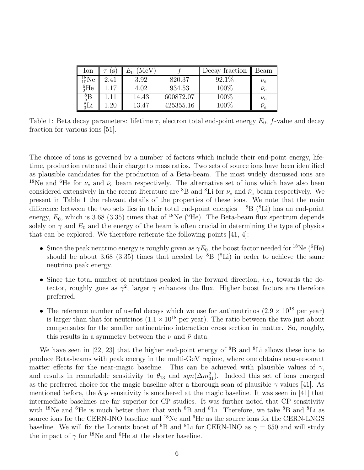| Ion            |      | MeV   |           | Decay fraction | Beam          |
|----------------|------|-------|-----------|----------------|---------------|
| $^{18}_{10}Ne$ | 2.41 | 3.92  | 820.37    | $92.1\%$       | $\nu_e$       |
| ${}^{6}_{2}He$ |      | 4.02  | 934.53    | 100%           | $\bar{\nu}_e$ |
| ξB             |      | 14.43 | 600872.07 | 100\%          | $\nu_e$       |
| šLi            | 20   | 13.47 | 425355.16 | 100%           | $\nu_e$       |

Table 1: Beta decay parameters: lifetime  $\tau$ , electron total end-point energy  $E_0$ , f-value and decay fraction for various ions [51].

The choice of ions is governed by a number of factors which include their end-point energy, lifetime, production rate and their charge to mass ratios. Two sets of source ions have been identified as plausible candidates for the production of a Beta-beam. The most widely discussed ions are <sup>18</sup>Ne and <sup>6</sup>He for  $\nu_e$  and  $\bar{\nu}_e$  beam respectively. The alternative set of ions which have also been considered extensively in the recent literature are <sup>8</sup>B and <sup>8</sup>Li for  $\nu_e$  and  $\bar{\nu}_e$  beam respectively. We present in Table 1 the relevant details of the properties of these ions. We note that the main difference between the two sets lies in their total end-point energies –  ${}^{8}B$  ( ${}^{8}Li$ ) has an end-point energy,  $E_0$ , which is 3.68 (3.35) times that of <sup>18</sup>Ne (<sup>6</sup>He). The Beta-beam flux spectrum depends solely on  $\gamma$  and  $E_0$  and the energy of the beam is often crucial in determining the type of physics that can be explored. We therefore reiterate the following points [41, 4]:

- Since the peak neutrino energy is roughly given as  $\gamma E_0$ , the boost factor needed for <sup>18</sup>Ne (<sup>6</sup>He) should be about 3.68 (3.35) times that needed by  ${}^{8}B$  ( ${}^{8}Li$ ) in order to achieve the same neutrino peak energy.
- Since the total number of neutrinos peaked in the forward direction, *i.e.*, towards the detector, roughly goes as  $\gamma^2$ , larger  $\gamma$  enhances the flux. Higher boost factors are therefore preferred.
- The reference number of useful decays which we use for antineutrinos  $(2.9 \times 10^{18} \text{ per year})$ is larger than that for neutrinos  $(1.1 \times 10^{18} \text{ per year})$ . The ratio between the two just about compensates for the smaller antineutrino interaction cross section in matter. So, roughly, this results in a symmetry between the  $\nu$  and  $\bar{\nu}$  data.

We have seen in [22, 23] that the higher end-point energy of  ${}^{8}B$  and  ${}^{8}Li$  allows these ions to produce Beta-beams with peak energy in the multi-GeV regime, where one obtains near-resonant matter effects for the near-magic baseline. This can be achieved with plausible values of  $\gamma$ , and results in remarkable sensitivity to  $\theta_{13}$  and  $sgn(\Delta m_{31}^2)$ . Indeed this set of ions emerged as the preferred choice for the magic baseline after a thorough scan of plausible  $\gamma$  values [41]. As mentioned before, the  $\delta_{\rm CP}$  sensitivity is smothered at the magic baseline. It was seen in [41] that intermediate baselines are far superior for CP studies. It was further noted that CP sensitivity with <sup>18</sup>Ne and <sup>6</sup>He is much better than that with <sup>8</sup>B and <sup>8</sup>Li. Therefore, we take <sup>8</sup>B and <sup>8</sup>Li as source ions for the CERN-INO baseline and <sup>18</sup>Ne and <sup>6</sup>He as the source ions for the CERN-LNGS baseline. We will fix the Lorentz boost of <sup>8</sup>B and <sup>8</sup>Li for CERN-INO as  $\gamma = 650$  and will study the impact of  $\gamma$  for <sup>18</sup>Ne and <sup>6</sup>He at the shorter baseline.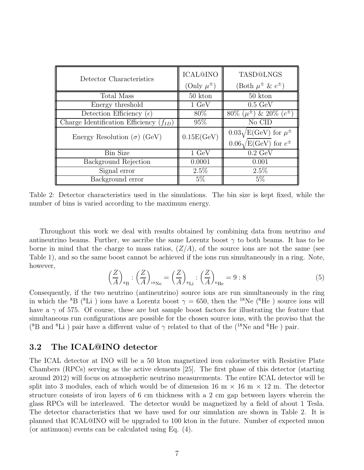| Detector Characteristics                    | <b>ICAL@INO</b><br>(Only $\mu^{\pm}$ ) | TASD@LNGS<br>$(\text{Both } \mu^{\pm} \& e^{\pm})$                                     |
|---------------------------------------------|----------------------------------------|----------------------------------------------------------------------------------------|
| Total Mass                                  | 50 kton                                | 50 kton                                                                                |
| Energy threshold                            | $1 \text{ GeV}$                        | $0.5 \text{ GeV}$                                                                      |
| Detection Efficiency $(\epsilon)$           | 80\%                                   | $80\%~(\mu^{\pm})~\&~20\%~(e^{\pm})$                                                   |
| Charge Identification Efficiency $(f_{ID})$ | 95%                                    | No CID                                                                                 |
| Energy Resolution $(\sigma)$ (GeV)          | 0.15E(GeV)                             | $0.03\sqrt{E(\text{GeV})}$ for $\mu^{\pm}$<br>$0.06\sqrt{E(\text{GeV})}$ for $e^{\pm}$ |
| <b>Bin Size</b>                             | $1 \text{ GeV}$                        | $0.2 \text{ GeV}$                                                                      |
| Background Rejection                        | 0.0001                                 | 0.001                                                                                  |
| Signal error                                | $2.5\%$                                | $2.5\%$                                                                                |
| Background error                            | $5\%$                                  | $5\%$                                                                                  |

Table 2: Detector characteristics used in the simulations. The bin size is kept fixed, while the number of bins is varied according to the maximum energy.

Throughout this work we deal with results obtained by combining data from neutrino and antineutrino beams. Further, we ascribe the same Lorentz boost  $\gamma$  to both beams. It has to be borne in mind that the charge to mass ratios,  $(Z/A)$ , of the source ions are not the same (see Table 1), and so the same boost cannot be achieved if the ions run simultaneously in a ring. Note, however,

$$
\left(\frac{Z}{A}\right)_{s_{\mathcal{B}}} : \left(\frac{Z}{A}\right)_{s_{\mathcal{N}e}} = \left(\frac{Z}{A}\right)_{s_{\mathcal{L}i}} : \left(\frac{Z}{A}\right)_{s_{\mathcal{H}e}} = 9 : 8
$$
\n<sup>(5)</sup>

Consequently, if the two neutrino (antineutrino) source ions are run simultaneously in the ring in which the <sup>8</sup>B (<sup>8</sup>Li) ions have a Lorentz boost  $\gamma = 650$ , then the <sup>18</sup>Ne (<sup>6</sup>He) source ions will have a  $\gamma$  of 575. Of course, these are but sample boost factors for illustrating the feature that simultaneous run configurations are possible for the chosen source ions, with the proviso that the (<sup>8</sup>B and <sup>8</sup>Li) pair have a different value of  $\gamma$  related to that of the (<sup>18</sup>Ne and <sup>6</sup>He) pair.

#### 3.2 The ICAL@INO detector

The ICAL detector at INO will be a 50 kton magnetized iron calorimeter with Resistive Plate Chambers (RPCs) serving as the active elements [25]. The first phase of this detector (starting around 2012) will focus on atmospheric neutrino measurements. The entire ICAL detector will be split into 3 modules, each of which would be of dimension  $16 \text{ m} \times 16 \text{ m} \times 12 \text{ m}$ . The detector structure consists of iron layers of 6 cm thickness with a 2 cm gap between layers wherein the glass RPCs will be interleaved. The detector would be magnetized by a field of about 1 Tesla. The detector characteristics that we have used for our simulation are shown in Table 2. It is planned that ICAL@INO will be upgraded to 100 kton in the future. Number of expected muon (or antimuon) events can be calculated using Eq. (4).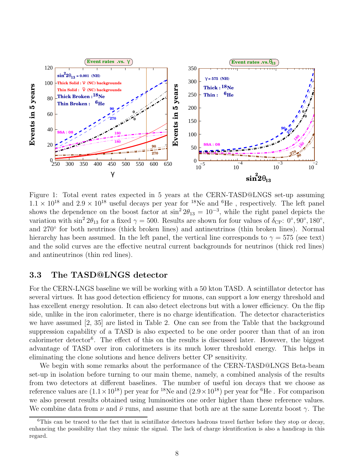

Figure 1: Total event rates expected in 5 years at the CERN-TASD@LNGS set-up assuming  $1.1 \times 10^{18}$  and  $2.9 \times 10^{18}$  useful decays per year for <sup>18</sup>Ne and <sup>6</sup>He, respectively. The left panel shows the dependence on the boost factor at  $\sin^2 2\theta_{13} = 10^{-3}$ , while the right panel depicts the variation with  $\sin^2 2\theta_{13}$  for a fixed  $\gamma = 500$ . Results are shown for four values of  $\delta_{\rm CP}$ : 0°, 90°, 180°, and 270◦ for both neutrinos (thick broken lines) and antineutrinos (thin broken lines). Normal hierarchy has been assumed. In the left panel, the vertical line corresponds to  $\gamma = 575$  (see text) and the solid curves are the effective neutral current backgrounds for neutrinos (thick red lines) and antineutrinos (thin red lines).

### 3.3 The TASD@LNGS detector

For the CERN-LNGS baseline we will be working with a 50 kton TASD. A scintillator detector has several virtues. It has good detection efficiency for muons, can support a low energy threshold and has excellent energy resolution. It can also detect electrons but with a lower efficiency. On the flip side, unlike in the iron calorimeter, there is no charge identification. The detector characteristics we have assumed [2, 35] are listed in Table 2. One can see from the Table that the background suppression capability of a TASD is also expected to be one order poorer than that of an iron calorimeter detector<sup>6</sup>. The effect of this on the results is discussed later. However, the biggest advantage of TASD over iron calorimeters is its much lower threshold energy. This helps in eliminating the clone solutions and hence delivers better CP sensitivity.

We begin with some remarks about the performance of the CERN-TASD@LNGS Beta-beam set-up in isolation before turning to our main theme, namely, a combined analysis of the results from two detectors at different baselines. The number of useful ion decays that we choose as reference values are  $(1.1 \times 10^{18})$  per year for <sup>18</sup>Ne and  $(2.9 \times 10^{18})$  per year for <sup>6</sup>He. For comparison we also present results obtained using luminosities one order higher than these reference values. We combine data from  $\nu$  and  $\bar{\nu}$  runs, and assume that both are at the same Lorentz boost  $\gamma$ . The

<sup>&</sup>lt;sup>6</sup>This can be traced to the fact that in scintillator detectors hadrons travel farther before they stop or decay, enhancing the possibility that they mimic the signal. The lack of charge identification is also a handicap in this regard.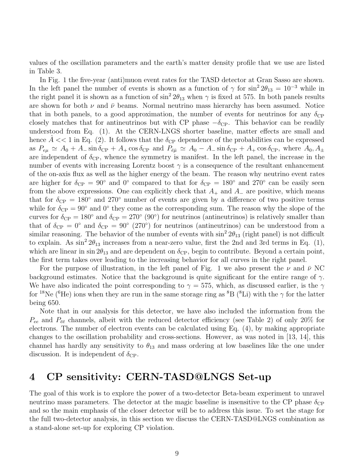values of the oscillation parameters and the earth's matter density profile that we use are listed in Table 3.

In Fig. 1 the five-year (anti)muon event rates for the TASD detector at Gran Sasso are shown. In the left panel the number of events is shown as a function of  $\gamma$  for  $\sin^2 2\theta_{13} = 10^{-3}$  while in the right panel it is shown as a function of  $\sin^2 2\theta_{13}$  when  $\gamma$  is fixed at 575. In both panels results are shown for both  $\nu$  and  $\bar{\nu}$  beams. Normal neutrino mass hierarchy has been assumed. Notice that in both panels, to a good approximation, the number of events for neutrinos for any  $\delta_{\rm CP}$ closely matches that for antineutrinos but with CP phase  $-\delta_{\text{CP}}$ . This behavior can be readily understood from Eq. (1). At the CERN-LNGS shorter baseline, matter effects are small and hence  $A \ll 1$  in Eq. (2). It follows that the  $\delta_{\rm CP}$  dependence of the probabilities can be expressed as  $P_{e\mu} \simeq A_0 + A_- \sin \delta_{\rm CP} + A_+ \cos \delta_{\rm CP}$  and  $P_{\bar{e}\bar{\mu}} \simeq A_0 - A_- \sin \delta_{\rm CP} + A_+ \cos \delta_{\rm CP}$ , where  $A_0, A_\pm$ are independent of  $\delta_{\text{CP}}$ , whence the symmetry is manifest. In the left panel, the increase in the number of events with increasing Lorentz boost  $\gamma$  is a consequence of the resultant enhancement of the on-axis flux as well as the higher energy of the beam. The reason why neutrino event rates are higher for  $\delta_{\rm CP} = 90^{\circ}$  and  $0^{\circ}$  compared to that for  $\delta_{\rm CP} = 180^{\circ}$  and  $270^{\circ}$  can be easily seen from the above expressions. One can explicitly check that  $A_+$  and  $A_-$  are positive, which means that for  $\delta_{\rm CP} = 180^\circ$  and 270° number of events are given by a difference of two positive terms while for  $\delta_{\text{CP}} = 90^{\circ}$  and  $0^{\circ}$  they come as the corresponding sum. The reason why the slope of the curves for  $\delta_{\text{CP}} = 180^{\circ}$  and  $\delta_{\text{CP}} = 270^{\circ}$  (90°) for neutrinos (antineutrinos) is relatively smaller than that of  $\delta_{\text{CP}} = 0^{\circ}$  and  $\delta_{\text{CP}} = 90^{\circ}$  (270°) for neutrinos (antineutrinos) can be understood from a similar reasoning. The behavior of the number of events with  $\sin^2 2\theta_{13}$  (right panel) is not difficult to explain. As  $\sin^2 2\theta_{13}$  increases from a near-zero value, first the 2nd and 3rd terms in Eq. (1), which are linear in  $\sin 2\theta_{13}$  and are dependent on  $\delta_{\rm CP}$ , begin to contribute. Beyond a certain point, the first term takes over leading to the increasing behavior for all curves in the right panel.

For the purpose of illustration, in the left panel of Fig. 1 we also present the  $\nu$  and  $\bar{\nu}$  NC background estimates. Notice that the background is quite significant for the entire range of  $\gamma$ . We have also indicated the point corresponding to  $\gamma = 575$ , which, as discussed earlier, is the  $\gamma$ for <sup>18</sup>Ne (<sup>6</sup>He) ions when they are run in the same storage ring as <sup>8</sup>B (<sup>8</sup>Li) with the  $\gamma$  for the latter being 650.

Note that in our analysis for this detector, we have also included the information from the  $P_{ee}$  and  $P_{\bar{e}\bar{e}}$  channels, albeit with the reduced detector efficiency (see Table 2) of only 20% for electrons. The number of electron events can be calculated using Eq. (4), by making appropriate changes to the oscillation probability and cross-sections. However, as was noted in [13, 14], this channel has hardly any sensitivity to  $\theta_{13}$  and mass ordering at low baselines like the one under discussion. It is independent of  $\delta_{\text{CP}}$ .

# 4 CP sensitivity: CERN-TASD@LNGS Set-up

The goal of this work is to explore the power of a two-detector Beta-beam experiment to unravel neutrino mass parameters. The detector at the magic baseline is insensitive to the CP phase  $\delta_{\text{CP}}$ and so the main emphasis of the closer detector will be to address this issue. To set the stage for the full two-detector analysis, in this section we discuss the CERN-TASD@LNGS combination as a stand-alone set-up for exploring CP violation.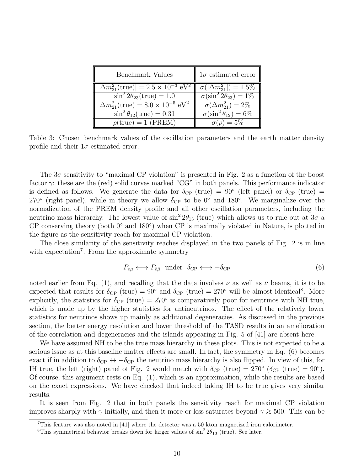| Benchmark Values                                                   | $1\sigma$ estimated error           |
|--------------------------------------------------------------------|-------------------------------------|
| $ \Delta m_{31}^2(\text{true})  = 2.5 \times 10^{-3} \text{ eV}^2$ | $\sigma( \Delta m_{31}^2 ) = 1.5\%$ |
| $\sin^2 2\theta_{23}$ (true) = 1.0                                 | $\sigma(\sin^2 2\theta_{23}) = 1\%$ |
| $\Delta m_{21}^2(\text{true}) = 8.0 \times 10^{-5} \text{ eV}^2$   | $\sigma(\Delta m_{21}^2) = 2\%$     |
| $\sin^2 \theta_{12}$ (true) = 0.31                                 | $\sigma(\sin^2\theta_{12})=6\%$     |
| $\rho(\text{true}) = 1 \text{ (PREM)}$                             | $\sigma(\rho) = 5\%$                |

Table 3: Chosen benchmark values of the oscillation parameters and the earth matter density profile and their  $1\sigma$  estimated error.

The  $3\sigma$  sensitivity to "maximal CP violation" is presented in Fig. 2 as a function of the boost factor  $\gamma$ : these are the (red) solid curves marked "CG" in both panels. This performance indicator is defined as follows. We generate the data for  $\delta_{\text{CP}}$  (true) = 90° (left panel) or  $\delta_{\text{CP}}$  (true) = 270° (right panel), while in theory we allow  $\delta_{\rm CP}$  to be 0° and 180°. We marginalize over the normalization of the PREM density profile and all other oscillation parameters, including the neutrino mass hierarchy. The lowest value of  $\sin^2 2\theta_{13}$  (true) which allows us to rule out at  $3\sigma$  a CP conserving theory (both 0◦ and 180◦ ) when CP is maximally violated in Nature, is plotted in the figure as the sensitivity reach for maximal CP violation.

The close similarity of the sensitivity reaches displayed in the two panels of Fig. 2 is in line with expectation<sup>7</sup>. From the approximate symmetry

$$
P_{e\mu} \longleftrightarrow P_{\bar{e}\bar{\mu}} \quad \text{under} \quad \delta_{\text{CP}} \longleftrightarrow -\delta_{\text{CP}} \tag{6}
$$

noted earlier from Eq. (1), and recalling that the data involves  $\nu$  as well as  $\bar{\nu}$  beams, it is to be expected that results for  $\delta_{\text{CP}}$  (true) = 90° and  $\delta_{\text{CP}}$  (true) = 270° will be almost identical<sup>8</sup>. More explicitly, the statistics for  $\delta_{\text{CP}}$  (true) = 270° is comparatively poor for neutrinos with NH true, which is made up by the higher statistics for antineutrinos. The effect of the relatively lower statistics for neutrinos shows up mainly as additional degeneracies. As discussed in the previous section, the better energy resolution and lower threshold of the TASD results in an amelioration of the correlation and degeneracies and the islands appearing in Fig. 5 of [41] are absent here.

We have assumed NH to be the true mass hierarchy in these plots. This is not expected to be a serious issue as at this baseline matter effects are small. In fact, the symmetry in Eq. (6) becomes exact if in addition to  $\delta_{\text{CP}} \leftrightarrow -\delta_{\text{CP}}$  the neutrino mass hierarchy is also flipped. In view of this, for IH true, the left (right) panel of Fig. 2 would match with  $\delta_{CP}$  (true) = 270° ( $\delta_{CP}$  (true) = 90°). Of course, this argument rests on Eq. (1), which is an approximation, while the results are based on the exact expressions. We have checked that indeed taking IH to be true gives very similar results.

It is seen from Fig. 2 that in both panels the sensitivity reach for maximal CP violation improves sharply with  $\gamma$  initially, and then it more or less saturates beyond  $\gamma \gtrsim 500$ . This can be

 $7$ This feature was also noted in [41] where the detector was a 50 kton magnetized iron calorimeter.

<sup>&</sup>lt;sup>8</sup>This symmetrical behavior breaks down for larger values of  $\sin^2 2\theta_{13}$  (true). See later.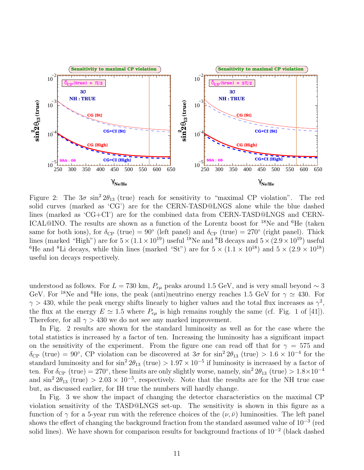

Figure 2: The  $3\sigma \sin^2 2\theta_{13}$  (true) reach for sensitivity to "maximal CP violation". The red solid curves (marked as 'CG') are for the CERN-TASD@LNGS alone while the blue dashed lines (marked as 'CG+CI') are for the combined data from CERN-TASD@LNGS and CERN-ICAL@INO. The results are shown as a function of the Lorentz boost for <sup>18</sup>Ne and <sup>6</sup>He (taken same for both ions), for  $\delta_{\text{CP}}$  (true) = 90° (left panel) and  $\delta_{\text{CP}}$  (true) = 270° (right panel). Thick lines (marked "High") are for  $5 \times (1.1 \times 10^{19})$  useful <sup>18</sup>Ne and <sup>8</sup>B decays and  $5 \times (2.9 \times 10^{19})$  useful <sup>6</sup>He and <sup>8</sup>Li decays, while thin lines (marked "St") are for  $5 \times (1.1 \times 10^{18})$  and  $5 \times (2.9 \times 10^{18})$ useful ion decays respectively.

understood as follows. For  $L = 730 \text{ km}$ ,  $P_{e\mu}$  peaks around 1.5 GeV, and is very small beyond ~ 3 GeV. For <sup>18</sup>Ne and <sup>6</sup>He ions, the peak (anti)neutrino energy reaches 1.5 GeV for  $\gamma \simeq 430$ . For  $\gamma > 430$ , while the peak energy shifts linearly to higher values and the total flux increases as  $\gamma^2$ , the flux at the energy  $E \simeq 1.5$  where  $P_{e\mu}$  is high remains roughly the same (cf. Fig. 1 of [41]). Therefore, for all  $\gamma > 430$  we do not see any marked improvement.

In Fig. 2 results are shown for the standard luminosity as well as for the case where the total statistics is increased by a factor of ten. Increasing the luminosity has a significant impact on the sensitivity of the experiment. From the figure one can read off that for  $\gamma = 575$  and  $\delta_{\rm CP}$  (true) = 90°, CP violation can be discovered at  $3\sigma$  for  $\sin^2 2\theta_{13}$  (true) >  $1.6 \times 10^{-4}$  for the standard luminosity and for  $\sin^2 2\theta_{13}$  (true) >  $1.97 \times 10^{-5}$  if luminosity is increased by a factor of ten. For  $\delta_{\rm CP}$  (true) = 270°, these limits are only slightly worse, namely,  $\sin^2 2\theta_{13}$  (true) >  $1.8 \times 10^{-4}$ and  $\sin^2 2\theta_{13}$  (true) >  $2.03 \times 10^{-5}$ , respectively. Note that the results are for the NH true case but, as discussed earlier, for IH true the numbers will hardly change.

In Fig. 3 we show the impact of changing the detector characteristics on the maximal CP violation sensitivity of the TASD@LNGS set-up. The sensitivity is shown in this figure as a function of  $\gamma$  for a 5-year run with the reference choices of the  $(\nu, \bar{\nu})$  luminosities. The left panel shows the effect of changing the background fraction from the standard assumed value of 10<sup>-3</sup> (red solid lines). We have shown for comparison results for background fractions of 10<sup>-2</sup> (black dashed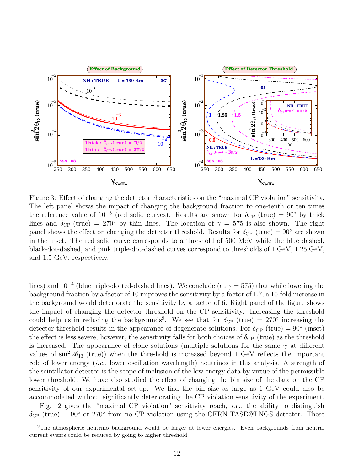

Figure 3: Effect of changing the detector characteristics on the "maximal CP violation" sensitivity. The left panel shows the impact of changing the background fraction to one-tenth or ten times the reference value of 10<sup>-3</sup> (red solid curves). Results are shown for  $\delta_{\rm CP}$  (true) = 90° by thick lines and  $\delta_{\rm CP}$  (true) = 270° by thin lines. The location of  $\gamma = 575$  is also shown. The right panel shows the effect on changing the detector threshold. Results for  $\delta_{CP}$  (true) = 90° are shown in the inset. The red solid curve corresponds to a threshold of 500 MeV while the blue dashed, black-dot-dashed, and pink triple-dot-dashed curves correspond to thresholds of 1 GeV, 1.25 GeV, and 1.5 GeV, respectively.

lines) and  $10^{-4}$  (blue triple-dotted-dashed lines). We conclude (at  $\gamma = 575$ ) that while lowering the background fraction by a factor of 10 improves the sensitivity by a factor of 1.7, a 10-fold increase in the background would deteriorate the sensitivity by a factor of 6. Right panel of the figure shows the impact of changing the detector threshold on the CP sensitivity. Increasing the threshold could help us in reducing the backgrounds<sup>9</sup>. We see that for  $\delta_{\text{CP}}$  (true) = 270° increasing the detector threshold results in the appearance of degenerate solutions. For  $\delta_{\rm CP}$  (true) = 90° (inset) the effect is less severe; however, the sensitivity falls for both choices of  $\delta_{\rm CP}$  (true) as the threshold is increased. The appearance of clone solutions (multiple solutions for the same  $\gamma$  at different values of  $\sin^2 2\theta_{13}$  (true)) when the threshold is increased beyond 1 GeV reflects the important role of lower energy (*i.e.*, lower oscillation wavelength) neutrinos in this analysis. A strength of the scintillator detector is the scope of inclusion of the low energy data by virtue of the permissible lower threshold. We have also studied the effect of changing the bin size of the data on the CP sensitivity of our experimental set-up. We find the bin size as large as 1 GeV could also be accommodated without significantly deteriorating the CP violation sensitivity of the experiment.

Fig. 2 gives the "maximal CP violation" sensitivity reach, i.e., the ability to distinguish  $\delta_{\text{CP}}$  (true) = 90° or 270° from no CP violation using the CERN-TASD@LNGS detector. These

<sup>&</sup>lt;sup>9</sup>The atmospheric neutrino background would be larger at lower energies. Even backgrounds from neutral current events could be reduced by going to higher threshold.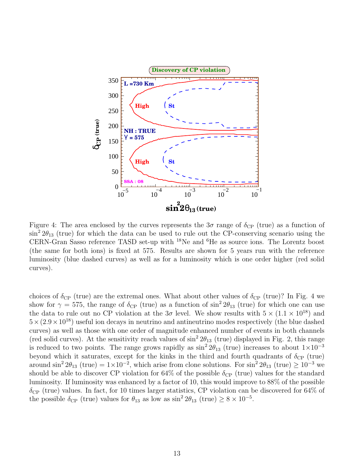

Figure 4: The area enclosed by the curves represents the  $3\sigma$  range of  $\delta_{CP}$  (true) as a function of  $\sin^2 2\theta_{13}$  (true) for which the data can be used to rule out the CP-conserving scenario using the CERN-Gran Sasso reference TASD set-up with <sup>18</sup>Ne and <sup>6</sup>He as source ions. The Lorentz boost (the same for both ions) is fixed at 575. Results are shown for 5 years run with the reference luminosity (blue dashed curves) as well as for a luminosity which is one order higher (red solid curves).

choices of  $\delta_{\text{CP}}$  (true) are the extremal ones. What about other values of  $\delta_{\text{CP}}$  (true)? In Fig. 4 we show for  $\gamma = 575$ , the range of  $\delta_{\rm CP}$  (true) as a function of  $\sin^2 2\theta_{13}$  (true) for which one can use the data to rule out no CP violation at the  $3\sigma$  level. We show results with  $5 \times (1.1 \times 10^{18})$  and  $5\times(2.9\times10^{18})$  useful ion decays in neutrino and antineutrino modes respectively (the blue dashed curves) as well as those with one order of magnitude enhanced number of events in both channels (red solid curves). At the sensitivity reach values of  $\sin^2 2\theta_{13}$  (true) displayed in Fig. 2, this range is reduced to two points. The range grows rapidly as  $\sin^2 2\theta_{13}$  (true) increases to about  $1 \times 10^{-3}$ beyond which it saturates, except for the kinks in the third and fourth quadrants of  $\delta_{\rm CP}$  (true) around  $\sin^2 2\theta_{13}$  (true) =  $1 \times 10^{-2}$ , which arise from clone solutions. For  $\sin^2 2\theta_{13}$  (true)  $\geq 10^{-3}$  we should be able to discover CP violation for 64% of the possible  $\delta_{\rm CP}$  (true) values for the standard luminosity. If luminosity was enhanced by a factor of 10, this would improve to 88% of the possible  $\delta_{\rm CP}$  (true) values. In fact, for 10 times larger statistics, CP violation can be discovered for 64% of the possible  $\delta_{\rm CP}$  (true) values for  $\theta_{13}$  as low as  $\sin^2 2\theta_{13}$  (true)  $\geq 8 \times 10^{-5}$ .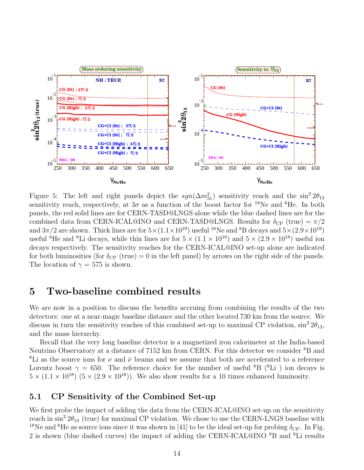

Figure 5: The left and right panels depict the  $sgn(\Delta m_{31}^2)$  sensitivity reach and the  $\sin^2 2\theta_{13}$ sensitivity reach, respectively, at  $3\sigma$  as a function of the boost factor for <sup>18</sup>Ne and <sup>6</sup>He. In both panels, the red solid lines are for CERN-TASD@LNGS alone while the blue dashed lines are for the combined data from CERN-ICAL@INO and CERN-TASD@LNGS. Results for  $\delta_{CP}$  (true) =  $\pi/2$ and  $3\pi/2$  are shown. Thick lines are for  $5\times(1.1\times10^{19})$  useful <sup>18</sup>Ne and <sup>8</sup>B decays and  $5\times(2.9\times10^{19})$ useful <sup>6</sup>He and <sup>8</sup>Li decays, while thin lines are for  $5 \times (1.1 \times 10^{18})$  and  $5 \times (2.9 \times 10^{18})$  useful ion decays respectively. The sensitivity reaches for the CERN-ICAL@INO set-up alone are indicated for both luminosities (for  $\delta_{\text{CP}}$  (true) = 0 in the left panel) by arrows on the right side of the panels. The location of  $\gamma = 575$  is shown.

# 5 Two-baseline combined results

We are now in a position to discuss the benefits accruing from combining the results of the two detectors: one at a near-magic baseline distance and the other located 730 km from the source. We discuss in turn the sensitivity reaches of this combined set-up to maximal CP violation,  $\sin^2 2\theta_{13}$ , and the mass hierarchy.

Recall that the very long baseline detector is a magnetized iron calorimeter at the India-based Neutrino Observatory at a distance of 7152 km from CERN. For this detector we consider <sup>8</sup>B and <sup>8</sup>Li as the source ions for  $\nu$  and  $\bar{\nu}$  beams and we assume that both are accelerated to a reference Lorentz boost  $\gamma = 650$ . The reference choice for the number of useful <sup>8</sup>B (<sup>8</sup>Li) ion decays is  $5 \times (1.1 \times 10^{18})$   $(5 \times (2.9 \times 10^{18}))$ . We also show results for a 10 times enhanced luminosity.

### 5.1 CP Sensitivity of the Combined Set-up

We first probe the impact of adding the data from the CERN-ICAL@INO set-up on the sensitivity reach in  $\sin^2 2\theta_{13}$  (true) for maximal CP violation. We chose to use the CERN-LNGS baseline with <sup>18</sup>Ne and <sup>6</sup>He as source ions since it was shown in [41] to be the ideal set-up for probing  $\delta_{\rm CP}$ . In Fig. 2 is shown (blue dashed curves) the impact of adding the CERN-ICAL@INO  ${}^{8}B$  and  ${}^{8}Li$  results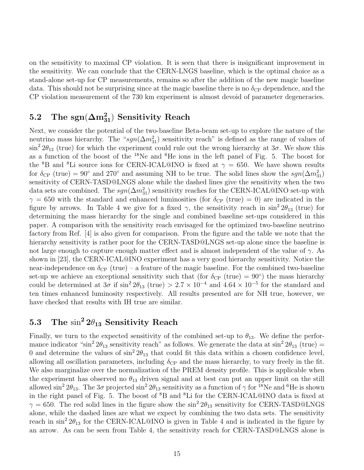on the sensitivity to maximal CP violation. It is seen that there is insignificant improvement in the sensitivity. We can conclude that the CERN-LNGS baseline, which is the optimal choice as a stand-alone set-up for CP measurements, remains so after the addition of the new magic baseline data. This should not be surprising since at the magic baseline there is no  $\delta_{\text{CP}}$  dependence, and the CP violation measurement of the 730 km experiment is almost devoid of parameter degeneracies.

# 5.2 The sgn $(\Delta m_{31}^2)$  Sensitivity Reach

Next, we consider the potential of the two-baseline Beta-beam set-up to explore the nature of the neutrino mass hierarchy. The " $sgn(\Delta m_{31}^2)$  sensitivity reach" is defined as the range of values of  $\sin^2 2\theta_{13}$  (true) for which the experiment could rule out the wrong hierarchy at  $3\sigma$ . We show this as a function of the boost of the  $^{18}$ Ne and  $^{6}$ He ions in the left panel of Fig. 5. The boost for the <sup>8</sup>B and <sup>8</sup>Li source ions for CERN-ICAL@INO is fixed at  $\gamma = 650$ . We have shown results for  $\delta_{\rm CP}$  (true) = 90° and 270° and assuming NH to be true. The solid lines show the  $sgn(\Delta m_{31}^2)$ sensitivity of CERN-TASD@LNGS alone while the dashed lines give the sensitivity when the two data sets are combined. The  $sgn(\Delta m_{31}^2)$  sensitivity reaches for the CERN-ICAL@INO set-up with  $\gamma = 650$  with the standard and enhanced luminosities (for  $\delta_{CP}$  (true) = 0) are indicated in the figure by arrows. In Table 4 we give for a fixed  $\gamma$ , the sensitivity reach in  $\sin^2 2\theta_{13}$  (true) for determining the mass hierarchy for the single and combined baseline set-ups considered in this paper. A comparison with the sensitivity reach envisaged for the optimized two-baseline neutrino factory from Ref. [4] is also given for comparison. From the figure and the table we note that the hierarchy sensitivity is rather poor for the CERN-TASD@LNGS set-up alone since the baseline is not large enough to capture enough matter effect and is almost independent of the value of  $\gamma$ . As shown in [23], the CERN-ICAL@INO experiment has a very good hierarchy sensitivity. Notice the near-independence on  $\delta_{\text{CP}}$  (true) – a feature of the magic baseline. For the combined two-baseline set-up we achieve an exceptional sensitivity such that (for  $\delta_{\text{CP}}$  (true) = 90°) the mass hierarchy could be determined at  $3\sigma$  if  $\sin^2 2\theta_{13}$  (true) >  $2.7 \times 10^{-4}$  and  $4.64 \times 10^{-5}$  for the standard and ten times enhanced luminosity respectively. All results presented are for NH true, however, we have checked that results with IH true are similar.

# 5.3 The  $\sin^2 2\theta_{13}$  Sensitivity Reach

Finally, we turn to the expected sensitivity of the combined set-up to  $\theta_{13}$ . We define the performance indicator " $\sin^2 2\theta_{13}$  sensitivity reach" as follows. We generate the data at  $\sin^2 2\theta_{13}$  (true) = 0 and determine the values of  $\sin^2 2\theta_{13}$  that could fit this data within a chosen confidence level, allowing all oscillation parameters, including  $\delta_{\rm CP}$  and the mass hierarchy, to vary freely in the fit. We also marginalize over the normalization of the PREM density profile. This is applicable when the experiment has observed no  $\theta_{13}$  driven signal and at best can put an upper limit on the still allowed sin<sup>2</sup>  $2\theta_{13}$ . The  $3\sigma$  projected sin<sup>2</sup>  $2\theta_{13}$  sensitivity as a function of  $\gamma$  for <sup>18</sup>Ne and <sup>6</sup>He is shown in the right panel of Fig. 5. The boost of <sup>8</sup>B and <sup>8</sup>Li for the CERN-ICAL@INO data is fixed at  $\gamma = 650$ . The red solid lines in the figure show the  $\sin^2 2\theta_{13}$  sensitivity for CERN-TASD@LNGS alone, while the dashed lines are what we expect by combining the two data sets. The sensitivity reach in  $\sin^2 2\theta_{13}$  for the CERN-ICAL@INO is given in Table 4 and is indicated in the figure by an arrow. As can be seen from Table 4, the sensitivity reach for CERN-TASD@LNGS alone is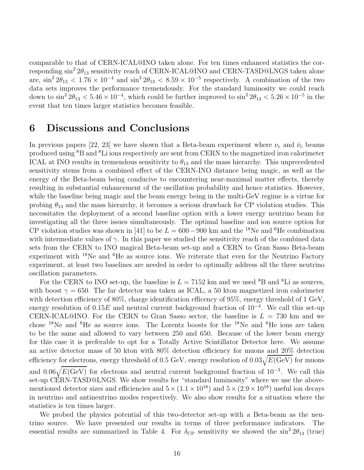comparable to that of CERN-ICAL@INO taken alone. For ten times enhanced statistics the corresponding  $\sin^2 2\theta_{13}$  sensitivity reach of CERN-ICAL@INO and CERN-TASD@LNGS taken alone are,  $\sin^2 2\theta_{13} < 1.76 \times 10^{-4}$  and  $\sin^2 2\theta_{13} < 8.59 \times 10^{-5}$  respectively. A combination of the two data sets improves the performance tremendously. For the standard luminosity we could reach down to  $\sin^2 2\theta_{13} < 5.46 \times 10^{-4}$ , which could be further improved to  $\sin^2 2\theta_{13} < 5.26 \times 10^{-5}$  in the event that ten times larger statistics becomes feasible.

### 6 Discussions and Conclusions

In previous papers [22, 23] we have shown that a Beta-beam experiment where  $\nu_e$  and  $\bar{\nu}_e$  beams produced using <sup>8</sup>B and <sup>8</sup>Li ions respectively are sent from CERN to the magnetized iron calorimeter ICAL at INO results in tremendous sensitivity to  $\theta_{13}$  and the mass hierarchy. This unprecedented sensitivity stems from a combined effect of the CERN-INO distance being magic, as well as the energy of the Beta-beam being conducive to encountering near-maximal matter effects, thereby resulting in substantial enhancement of the oscillation probability and hence statistics. However, while the baseline being magic and the beam energy being in the multi-GeV regime is a virtue for probing  $\theta_{13}$  and the mass hierarchy, it becomes a serious drawback for CP violation studies. This necessitates the deployment of a second baseline option with a lower energy neutrino beam for investigating all the three issues simultaneously. The optimal baseline and ion source option for CP violation studies was shown in [41] to be  $L = 600-900$  km and the <sup>18</sup>Ne and <sup>6</sup>He combination with intermediate values of  $\gamma$ . In this paper we studied the sensitivity reach of the combined data sets from the CERN to INO magical Beta-beam set-up and a CERN to Gran Sasso Beta-beam experiment with  $^{18}$ Ne and  $^{6}$ He as source ions. We reiterate that even for the Neutrino Factory experiment, at least two baselines are needed in order to optimally address all the three neutrino oscillation parameters.

For the CERN to INO set-up, the baseline is  $L = 7152$  km and we used <sup>8</sup>B and <sup>8</sup>Li as sources, with boost  $\gamma = 650$ . The far detector was taken as ICAL, a 50 kton magnetized iron calorimeter with detection efficiency of 80%, charge identification efficency of 95%, energy threshold of 1 GeV, energy resolution of 0.15 $E$  and neutral current background fraction of 10<sup>-4</sup>. We call this set-up CERN-ICAL@INO. For the CERN to Gran Sasso sector, the baseline is  $L = 730$  km and we chose <sup>18</sup>Ne and <sup>6</sup>He as source ions. The Lorentz boosts for the <sup>18</sup>Ne and <sup>6</sup>He ions are taken to be the same and allowed to vary between 250 and 650. Because of the lower beam energy for this case it is preferable to opt for a Totally Active Scintillator Detector here. We assume an active detector mass of 50 kton with 80% detection efficiency for muons and 20% detection efficiency for electrons, energy threshold of 0.5 GeV, energy resolution of  $0.03\sqrt{E(\rm{GeV})}$  for muons and  $0.06\sqrt{E(\text{GeV})}$  for electrons and neutral current background fraction of  $10^{-3}$ . We call this set-up CERN-TASD@LNGS. We show results for "standard luminosity" where we use the abovementioned detector sizes and efficiencies and  $5 \times (1.1 \times 10^{18})$  and  $5 \times (2.9 \times 10^{18})$  useful ion decays in neutrino and antineutrino modes respectively. We also show results for a situation where the statistics is ten times larger.

We probed the physics potential of this two-detector set-up with a Beta-beam as the neutrino source. We have presented our results in terms of three performance indicators. The essential results are summarized in Table 4. For  $\delta_{\rm CP}$  sensitivity we showed the  $\sin^2 2\theta_{13}$  (true)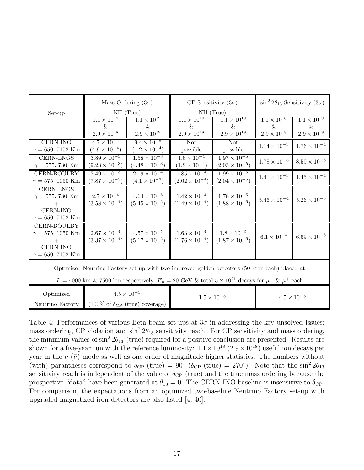|                                                                                                                        | Mass Ordering $(3\sigma)$                               |                         | CP Sensitivity $(3\sigma)$ |                         | $\sin^2 2\theta_{13}$ Sensitivity $(3\sigma)$ |                       |  |
|------------------------------------------------------------------------------------------------------------------------|---------------------------------------------------------|-------------------------|----------------------------|-------------------------|-----------------------------------------------|-----------------------|--|
| Set-up                                                                                                                 | NH (True)                                               |                         | NH (True)                  |                         |                                               |                       |  |
|                                                                                                                        | $1.1 \times 10^{18}$                                    | $1.1 \times 10^{19}$    | $1.1 \times 10^{18}$       | $1.1 \times 10^{19}$    | $1.1 \times 10^{18}$                          | $1.1 \times 10^{19}$  |  |
|                                                                                                                        | &                                                       | $\&$                    | &                          | &                       | &                                             | &                     |  |
|                                                                                                                        | $2.9\times10^{18}$                                      | $2.9\times10^{19}$      | $2.9\times10^{18}$         | $2.9 \times 10^{19}$    | $2.9\times10^{18}$                            | $2.9\times10^{19}$    |  |
| <b>CERN-INO</b>                                                                                                        | $4.7 \times 10^{-4}$                                    | $9.4 \times 10^{-5}$    | Not.                       | Not.                    | $1.14 \times 10^{-3}$                         | $1.76 \times 10^{-4}$ |  |
| $\gamma = 650, 7152$ Km                                                                                                | $(4.9 \times 10^{-4})$                                  | $(1.2 \times 10^{-4})$  | possible                   | possible                |                                               |                       |  |
| <b>CERN-LNGS</b>                                                                                                       | $3.89 \times 10^{-3}$                                   | $1.58 \times 10^{-3}$   | $1.6 \times 10^{-4}$       | $1.97 \times 10^{-5}$   | $1.78 \times 10^{-3}$                         | $8.59 \times 10^{-5}$ |  |
| $\gamma=575,\,730$ Km                                                                                                  | $(9.23 \times 10^{-3})$                                 | $(4.48 \times 10^{-3})$ | $(1.8 \times 10^{-4})$     | $(2.03 \times 10^{-5})$ |                                               |                       |  |
| <b>CERN-BOULBY</b>                                                                                                     | $2.49 \times 10^{-3}$                                   | $2.19 \times 10^{-4}$   | $1.85 \times 10^{-4}$      | $1.99 \times 10^{-5}$   | $1.41 \times 10^{-3}$                         | $1.45 \times 10^{-4}$ |  |
| $\gamma = 575, 1050$ Km                                                                                                | $(7.87 \times 10^{-3})$                                 | $(4.1 \times 10^{-3})$  | $(2.02 \times 10^{-4})$    | $(2.04 \times 10^{-5})$ |                                               |                       |  |
| <b>CERN-LNGS</b>                                                                                                       |                                                         |                         |                            |                         |                                               |                       |  |
| $\gamma = 575, 730$ Km                                                                                                 | $2.7 \times 10^{-4}$                                    | $4.64 \times 10^{-5}$   | $1.42\times10^{-4}$        | $1.78\times10^{-5}$     | $5.46 \times 10^{-4}$                         | $5.26\times10^{-5}$   |  |
|                                                                                                                        | $(3.58 \times 10^{-4})$                                 | $(5.45 \times 10^{-5})$ | $(1.49 \times 10^{-4})$    | $(1.88 \times 10^{-5})$ |                                               |                       |  |
| <b>CERN-INO</b>                                                                                                        |                                                         |                         |                            |                         |                                               |                       |  |
| $\gamma = 650, 7152$ Km                                                                                                |                                                         |                         |                            |                         |                                               |                       |  |
| <b>CERN-BOULBY</b>                                                                                                     |                                                         |                         |                            |                         |                                               |                       |  |
| $\gamma = 575, 1050$ Km                                                                                                | $2.67 \times 10^{-4}$                                   | $4.57 \times 10^{-5}$   | $1.63 \times 10^{-4}$      | $1.8 \times 10^{-5}$    | $6.1\times10^{-4}$                            | $6.69 \times 10^{-5}$ |  |
|                                                                                                                        | $(3.37 \times 10^{-4})$                                 | $(5.17 \times 10^{-5})$ | $(1.76 \times 10^{-4})$    | $(1.87 \times 10^{-5})$ |                                               |                       |  |
| <b>CERN-INO</b>                                                                                                        |                                                         |                         |                            |                         |                                               |                       |  |
| $\gamma = 650, 7152$ Km                                                                                                |                                                         |                         |                            |                         |                                               |                       |  |
|                                                                                                                        |                                                         |                         |                            |                         |                                               |                       |  |
| Optimized Neutrino Factory set-up with two improved golden detectors (50 kton each) placed at                          |                                                         |                         |                            |                         |                                               |                       |  |
| $L = 4000$ km & 7500 km respectively. $E_{\mu} = 20$ GeV & total $5 \times 10^{21}$ decays for $\mu^-$ & $\mu^+$ each. |                                                         |                         |                            |                         |                                               |                       |  |
|                                                                                                                        |                                                         |                         |                            |                         |                                               |                       |  |
| Optimized                                                                                                              | $4.5 \times 10^{-5}$                                    |                         | $1.5 \times 10^{-5}$       |                         | $4.5\times10^{-5}$                            |                       |  |
| Neutrino Factory                                                                                                       | $\parallel$ (100% of $\delta_{\rm CP}$ (true) coverage) |                         |                            |                         |                                               |                       |  |

Table 4: Performances of various Beta-beam set-ups at  $3\sigma$  in addressing the key unsolved issues: mass ordering, CP violation and  $\sin^2 2\theta_{13}$  sensitivity reach. For CP sensitivity and mass ordering, the minimum values of  $\sin^2 2\theta_{13}$  (true) required for a positive conclusion are presented. Results are shown for a five-year run with the reference luminosity:  $1.1 \times 10^{18}$  ( $2.9 \times 10^{18}$ ) useful ion decays per year in the  $\nu(\bar{\nu})$  mode as well as one order of magnitude higher statistics. The numbers without (with) parantheses correspond to  $\delta_{\text{CP}}$  (true) = 90° ( $\delta_{\text{CP}}$  (true) = 270°). Note that the sin<sup>2</sup> 2 $\theta_{13}$ sensitivity reach is independent of the value of  $\delta_{\text{CP}}$  (true) and the true mass ordering because the prospective "data" have been generated at  $\theta_{13} = 0$ . The CERN-INO baseline is insensitive to  $\delta_{\rm CP}$ . For comparison, the expectations from an optimized two-baseline Neutrino Factory set-up with upgraded magnetized iron detectors are also listed [4, 40].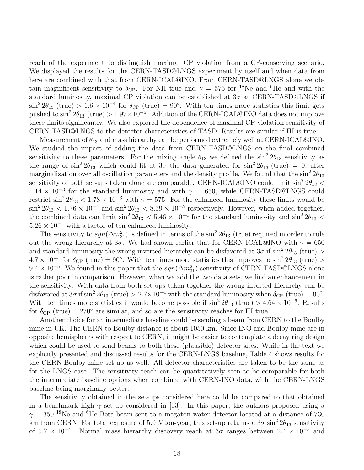reach of the experiment to distinguish maximal CP violation from a CP-conserving scenario. We displayed the results for the CERN-TASD@LNGS experiment by itself and when data from here are combined with that from CERN-ICAL@INO. From CERN-TASD@LNGS alone we obtain magnificent sensitivity to  $\delta_{\text{CP}}$ . For NH true and  $\gamma = 575$  for <sup>18</sup>Ne and <sup>6</sup>He and with the standard luminosity, maximal CP violation can be established at  $3\sigma$  at CERN-TASD@LNGS if  $\sin^2 2\theta_{13}$  (true) >  $1.6 \times 10^{-4}$  for  $\delta_{CP}$  (true) = 90°. With ten times more statistics this limit gets pushed to  $\sin^2 2\theta_{13}$  (true) >  $1.97 \times 10^{-5}$ . Addition of the CERN-ICAL@INO data does not improve these limits significantly. We also explored the dependence of maximal CP violation sensitivity of CERN-TASD@LNGS to the detector characteristics of TASD. Results are similar if IH is true.

Measurement of  $\theta_{13}$  and mass hierarchy can be performed extremely well at CERN-ICAL@INO. We studied the impact of adding the data from CERN-TASD@LNGS on the final combined sensitivity to these parameters. For the mixing angle  $\theta_{13}$  we defined the  $\sin^2 2\theta_{13}$  sensitivity as the range of  $\sin^2 2\theta_{13}$  which could fit at  $3\sigma$  the data generated for  $\sin^2 2\theta_{13}$  (true) = 0, after marginalization over all oscillation parameters and the density profile. We found that the  $\sin^2 2\theta_{13}$ sensitivity of both set-ups taken alone are comparable. CERN-ICAL@INO could limit  $\sin^2 2\theta_{13}$  <  $1.14 \times 10^{-3}$  for the standard luminosity and with  $\gamma = 650$ , while CERN-TASD@LNGS could restrict  $\sin^2 2\theta_{13} < 1.78 \times 10^{-3}$  with  $\gamma = 575$ . For the enhanced luminosity these limits would be  $\sin^2 2\theta_{13} < 1.76 \times 10^{-4}$  and  $\sin^2 2\theta_{13} < 8.59 \times 10^{-5}$  respectively. However, when added together, the combined data can limit  $\sin^2 2\theta_{13} < 5.46 \times 10^{-4}$  for the standard luminosity and  $\sin^2 2\theta_{13} <$  $5.26 \times 10^{-5}$  with a factor of ten enhanced luminosity.

The sensitivity to  $sgn(\Delta m_{31}^2)$  is defined in terms of the sin<sup>2</sup>  $2\theta_{13}$  (true) required in order to rule out the wrong hierarchy at  $3\sigma$ . We had shown earlier that for CERN-ICAL@INO with  $\gamma = 650$ and standard luminosity the wrong inverted hierarchy can be disfavored at  $3\sigma$  if  $\sin^2 2\theta_{13}$  (true) >  $4.7 \times 10^{-4}$  for  $\delta_{\rm CP}$  (true) = 90°. With ten times more statistics this improves to  $\sin^2 2\theta_{13}$  (true) >  $9.4 \times 10^{-5}$ . We found in this paper that the  $sgn(\Delta m_{31}^2)$  sensitivity of CERN-TASD@LNGS alone is rather poor in comparison. However, when we add the two data sets, we find an enhancement in the sensitivity. With data from both set-ups taken together the wrong inverted hierarchy can be disfavored at  $3\sigma$  if  $\sin^2 2\theta_{13}$  (true) >  $2.7 \times 10^{-4}$  with the standard luminosity when  $\delta_{CP}$  (true) = 90°. With ten times more statistics it would become possible if  $\sin^2 2\theta_{13}$  (true) > 4.64 × 10<sup>-5</sup>. Results for  $\delta_{\rm CP}$  (true) = 270° are similar, and so are the sensitivity reaches for IH true.

Another choice for an intermediate baseline could be sending a beam from CERN to the Boulby mine in UK. The CERN to Boulby distance is about 1050 km. Since INO and Boulby mine are in opposite hemispheres with respect to CERN, it might be easier to contemplate a decay ring design which could be used to send beams to both these (plausible) detector sites. While in the text we explicitly presented and discussed results for the CERN-LNGS baseline, Table 4 shows results for the CERN-Boulby mine set-up as well. All detector characteristics are taken to be the same as for the LNGS case. The sensitivity reach can be quantitatively seen to be comparable for both the intermediate baseline options when combined with CERN-INO data, with the CERN-LNGS baseline being marginally better.

The sensitivity obtained in the set-ups considered here could be compared to that obtained in a benchmark high  $\gamma$  set-up considered in [33]. In this paper, the authors proposed using a  $\gamma = 350$  <sup>18</sup>Ne and <sup>6</sup>He Beta-beam sent to a megaton water detector located at a distance of 730 km from CERN. For total exposure of 5.0 Mton-year, this set-up returns a  $3\sigma \sin^2 2\theta_{13}$  sensitivity of  $5.7 \times 10^{-4}$ . Normal mass hierarchy discovery reach at  $3\sigma$  ranges between  $2.4 \times 10^{-3}$  and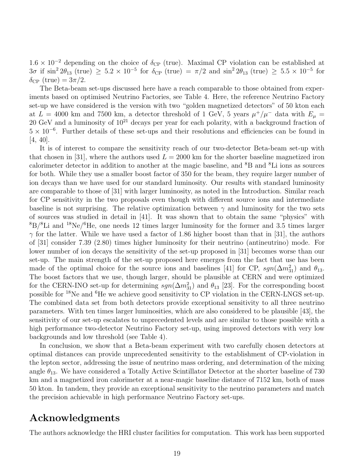$1.6 \times 10^{-2}$  depending on the choice of  $\delta_{\rm CP}$  (true). Maximal CP violation can be established at  $3\sigma$  if  $\sin^2 2\theta_{13}$  (true)  $\geq 5.2 \times 10^{-5}$  for  $\delta_{\rm CP}$  (true)  $=\pi/2$  and  $\sin^2 2\theta_{13}$  (true)  $\geq 5.5 \times 10^{-5}$  for  $\delta_{CP}$  (true) =  $3\pi/2$ .

The Beta-beam set-ups discussed here have a reach comparable to those obtained from experiments based on optimised Neutrino Factories, see Table 4. Here, the reference Neutrino Factory set-up we have considered is the version with two "golden magnetized detectors" of 50 kton each at  $L = 4000$  km and 7500 km, a detector threshold of 1 GeV, 5 years  $\mu^+/\mu^-$  data with  $E_\mu =$  $20 \text{ GeV}$  and a luminosity of  $10^{21}$  decays per year for each polarity, with a background fraction of  $5 \times 10^{-6}$ . Further details of these set-ups and their resolutions and efficiencies can be found in [4, 40].

It is of interest to compare the sensitivity reach of our two-detector Beta-beam set-up with that chosen in [31], where the authors used  $L = 2000$  km for the shorter baseline magnetized iron calorimeter detector in addition to another at the magic baseline, and <sup>8</sup>B and <sup>8</sup>Li ions as sources for both. While they use a smaller boost factor of 350 for the beam, they require larger number of ion decays than we have used for our standard luminosity. Our results with standard luminosity are comparable to those of [31] with larger luminosity, as noted in the Introduction. Similar reach for CP sensitivity in the two proposals even though with different source ions and intermediate baseline is not surprising. The relative optimization between  $\gamma$  and luminosity for the two sets of sources was studied in detail in [41]. It was shown that to obtain the same "physics" with  ${}^{8}B/{}^{8}Li$  and  ${}^{18}Ne/{}^{6}He$ , one needs 12 times larger luminosity for the former and 3.5 times larger  $\gamma$  for the latter. While we have used a factor of 1.86 higher boost than that in [31], the authors of [31] consider 7.39 (2.80) times higher luminosity for their neutrino (antineutrino) mode. For lower number of ion decays the sensitivity of the set-up proposed in [31] becomes worse than our set-up. The main strength of the set-up proposed here emerges from the fact that use has been made of the optimal choice for the source ions and baselines [41] for CP,  $sgn(\Delta m_{31}^2)$  and  $\theta_{13}$ . The boost factors that we use, though larger, should be plausible at CERN and were optimized for the CERN-INO set-up for determining  $sgn(\Delta m_{31}^2)$  and  $\theta_{13}$  [23]. For the corresponding boost possible for <sup>18</sup>Ne and <sup>6</sup>He we achieve good sensitivity to CP violation in the CERN-LNGS set-up. The combined data set from both detectors provide exceptional sensitivity to all three neutrino parameters. With ten times larger luminosities, which are also considered to be plausible [43], the sensitivity of our set-up escalates to unprecedented levels and are similar to those possible with a high performance two-detector Neutrino Factory set-up, using improved detectors with very low backgrounds and low threshold (see Table 4).

In conclusion, we show that a Beta-beam experiment with two carefully chosen detectors at optimal distances can provide unprecedented sensitivity to the establishment of CP-violation in the lepton sector, addressing the issue of neutrino mass ordering, and determination of the mixing angle  $\theta_{13}$ . We have considered a Totally Active Scintillator Detector at the shorter baseline of 730 km and a magnetized iron calorimeter at a near-magic baseline distance of 7152 km, both of mass 50 kton. In tandem, they provide an exceptional sensitivity to the neutrino parameters and match the precision achievable in high performance Neutrino Factory set-ups.

## Acknowledgments

The authors acknowledge the HRI cluster facilities for computation. This work has been supported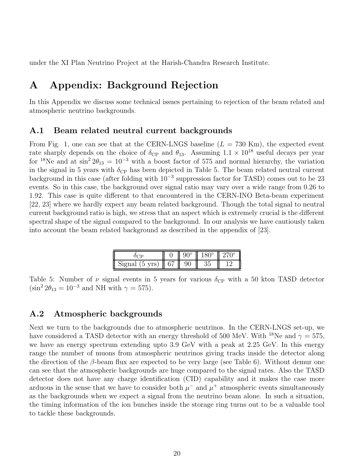under the XI Plan Neutrino Project at the Harish-Chandra Research Institute.

# A Appendix: Background Rejection

In this Appendix we discuss some technical issues pertaining to rejection of the beam related and atmospheric neutrino backgrounds.

### A.1 Beam related neutral current backgrounds

From Fig. 1, one can see that at the CERN-LNGS baseline  $(L = 730 \text{ Km})$ , the expected event rate sharply depends on the choice of  $\delta_{\rm CP}$  and  $\theta_{13}$ . Assuming  $1.1 \times 10^{18}$  useful decays per year for <sup>18</sup>Ne and at  $\sin^2 2\theta_{13} = 10^{-3}$  with a boost factor of 575 and normal hierarchy, the variation in the signal in 5 years with  $\delta_{\rm CP}$  has been depicted in Table 5. The beam related neutral current background in this case (after folding with  $10^{-3}$  suppression factor for TASD) comes out to be 23 events. So in this case, the background over signal ratio may vary over a wide range from 0.26 to 1.92. This case is quite different to that encountered in the CERN-INO Beta-beam experiment [22, 23] where we hardly expect any beam related background. Though the total signal to neutral current background ratio is high, we stress that an aspect which is extremely crucial is the different spectral shape of the signal compared to the background. In our analysis we have cautiously taken into account the beam related background as described in the appendix of [23].

|                          | $\Omega$ <sup>o</sup> | $180^\circ$ | 27/11 |
|--------------------------|-----------------------|-------------|-------|
| Signal $(5 \text{ yrs})$ |                       |             | 16.   |

Table 5: Number of  $\nu$  signal events in 5 years for various  $\delta_{\rm CP}$  with a 50 kton TASD detector  $(\sin^2 2\theta_{13} = 10^{-3} \text{ and NH with } \gamma = 575).$ 

#### A.2 Atmospheric backgrounds

Next we turn to the backgrounds due to atmospheric neutrinos. In the CERN-LNGS set-up, we have considered a TASD detector with an energy threshold of 500 MeV. With <sup>18</sup>Ne and  $\gamma = 575$ , we have an energy spectrum extending upto 3.9 GeV with a peak at 2.25 GeV. In this energy range the number of muons from atmospheric neutrinos giving tracks inside the detector along the direction of the  $\beta$ -beam flux are expected to be very large (see Table 6). Without demur one can see that the atmospheric backgrounds are huge compared to the signal rates. Also the TASD detector does not have any charge identification (CID) capability and it makes the case more arduous in the sense that we have to consider both  $\mu^-$  and  $\mu^+$  atmospheric events simultaneously as the backgrounds when we expect a signal from the neutrino beam alone. In such a situation, the timing information of the ion bunches inside the storage ring turns out to be a valuable tool to tackle these backgrounds.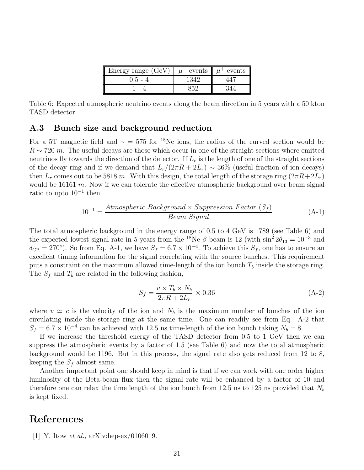| Energy range (Ge) | events | events |
|-------------------|--------|--------|
|                   |        |        |
|                   | ວະເ    |        |

Table 6: Expected atmospheric neutrino events along the beam direction in 5 years with a 50 kton TASD detector.

#### A.3 Bunch size and background reduction

For a 5T magnetic field and  $\gamma = 575$  for <sup>18</sup>Ne ions, the radius of the curved section would be  $R \sim 720$  m. The useful decays are those which occur in one of the straight sections where emitted neutrinos fly towards the direction of the detector. If  $L_r$  is the length of one of the straight sections of the decay ring and if we demand that  $L_r/(2\pi R + 2L_r) \sim 36\%$  (useful fraction of ion decays) then  $L_r$  comes out to be 5818 m. With this design, the total length of the storage ring  $(2\pi R+2L_r)$ would be 16161 m. Now if we can tolerate the effective atmospheric background over beam signal ratio to upto 10<sup>-1</sup> then

$$
10^{-1} = \frac{Atmospheric\ Background \times Suppression\ Factor\ (S_f)}{Beam\ Signal} \tag{A-1}
$$

The total atmospheric background in the energy range of 0.5 to 4 GeV is 1789 (see Table 6) and the expected lowest signal rate in 5 years from the <sup>18</sup>Ne  $\beta$ -beam is 12 (with sin<sup>2</sup> 2 $\theta_{13} = 10^{-3}$  and  $\delta_{\text{CP}} = 270^{\circ}$ ). So from Eq. A-1, we have  $S_f = 6.7 \times 10^{-4}$ . To achieve this  $S_f$ , one has to ensure an excellent timing information for the signal correlating with the source bunches. This requirement puts a constraint on the maximum allowed time-length of the ion bunch  $T<sub>b</sub>$  inside the storage ring. The  $S_f$  and  $T_b$  are related in the following fashion,

$$
S_f = \frac{v \times T_b \times N_b}{2\pi R + 2L_r} \times 0.36
$$
 (A-2)

where  $v \simeq c$  is the velocity of the ion and  $N_b$  is the maximum number of bunches of the ion circulating inside the storage ring at the same time. One can readily see from Eq. A-2 that  $S_f = 6.7 \times 10^{-4}$  can be achieved with 12.5 ns time-length of the ion bunch taking  $N_b = 8$ .

If we increase the threshold energy of the TASD detector from 0.5 to 1 GeV then we can suppress the atmospheric events by a factor of 1.5 (see Table 6) and now the total atmospheric background would be 1196. But in this process, the signal rate also gets reduced from 12 to 8, keeping the  $S_f$  almost same.

Another important point one should keep in mind is that if we can work with one order higher luminosity of the Beta-beam flux then the signal rate will be enhanced by a factor of 10 and therefore one can relax the time length of the ion bunch from 12.5 ns to 125 ns provided that  $N_b$ is kept fixed.

## References

[1] Y. Itow et al., arXiv:hep-ex/0106019.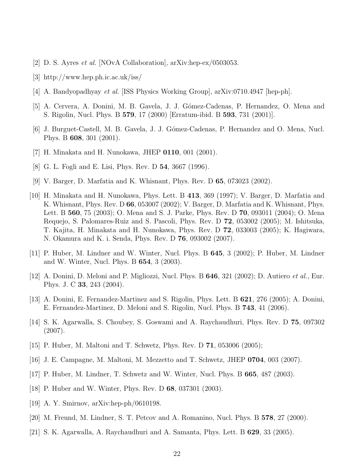- [2] D. S. Ayres et al. [NOvA Collaboration], arXiv:hep-ex/0503053.
- [3] http://www.hep.ph.ic.ac.uk/iss/
- [4] A. Bandyopadhyay et al. [ISS Physics Working Group], arXiv:0710.4947 [hep-ph].
- [5] A. Cervera, A. Donini, M. B. Gavela, J. J. G´omez-Cadenas, P. Hernandez, O. Mena and S. Rigolin, Nucl. Phys. B 579, 17 (2000) [Erratum-ibid. B 593, 731 (2001)].
- [6] J. Burguet-Castell, M. B. Gavela, J. J. Gómez-Cadenas, P. Hernandez and O. Mena, Nucl. Phys. B 608, 301 (2001).
- [7] H. Minakata and H. Nunokawa, JHEP 0110, 001 (2001).
- [8] G. L. Fogli and E. Lisi, Phys. Rev. D 54, 3667 (1996).
- [9] V. Barger, D. Marfatia and K. Whisnant, Phys. Rev. D 65, 073023 (2002).
- [10] H. Minakata and H. Nunokawa, Phys. Lett. B 413, 369 (1997); V. Barger, D. Marfatia and K. Whisnant, Phys. Rev. D 66, 053007 (2002); V. Barger, D. Marfatia and K. Whisnant, Phys. Lett. B 560, 75 (2003); O. Mena and S. J. Parke, Phys. Rev. D 70, 093011 (2004); O. Mena Requejo, S. Palomares-Ruiz and S. Pascoli, Phys. Rev. D 72, 053002 (2005); M. Ishitsuka, T. Kajita, H. Minakata and H. Nunokawa, Phys. Rev. D 72, 033003 (2005); K. Hagiwara, N. Okamura and K. i. Senda, Phys. Rev. D 76, 093002 (2007).
- [11] P. Huber, M. Lindner and W. Winter, Nucl. Phys. B 645, 3 (2002); P. Huber, M. Lindner and W. Winter, Nucl. Phys. B 654, 3 (2003).
- [12] A. Donini, D. Meloni and P. Migliozzi, Nucl. Phys. B **646**, 321 (2002); D. Autiero *et al.*, Eur. Phys. J. C 33, 243 (2004).
- [13] A. Donini, E. Fernandez-Martinez and S. Rigolin, Phys. Lett. B 621, 276 (2005); A. Donini, E. Fernandez-Martinez, D. Meloni and S. Rigolin, Nucl. Phys. B 743, 41 (2006).
- [14] S. K. Agarwalla, S. Choubey, S. Goswami and A. Raychaudhuri, Phys. Rev. D 75, 097302 (2007).
- [15] P. Huber, M. Maltoni and T. Schwetz, Phys. Rev. D 71, 053006 (2005);
- [16] J. E. Campagne, M. Maltoni, M. Mezzetto and T. Schwetz, JHEP 0704, 003 (2007).
- [17] P. Huber, M. Lindner, T. Schwetz and W. Winter, Nucl. Phys. B 665, 487 (2003).
- [18] P. Huber and W. Winter, Phys. Rev. D 68, 037301 (2003).
- [19] A. Y. Smirnov, arXiv:hep-ph/0610198.
- [20] M. Freund, M. Lindner, S. T. Petcov and A. Romanino, Nucl. Phys. B 578, 27 (2000).
- [21] S. K. Agarwalla, A. Raychaudhuri and A. Samanta, Phys. Lett. B 629, 33 (2005).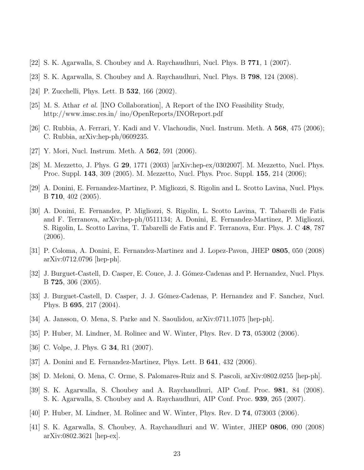- [22] S. K. Agarwalla, S. Choubey and A. Raychaudhuri, Nucl. Phys. B 771, 1 (2007).
- [23] S. K. Agarwalla, S. Choubey and A. Raychaudhuri, Nucl. Phys. B 798, 124 (2008).
- [24] P. Zucchelli, Phys. Lett. B **532**, 166 (2002).
- [25] M. S. Athar et al. [INO Collaboration], A Report of the INO Feasibility Study, http://www.imsc.res.in/ ino/OpenReports/INOReport.pdf
- [26] C. Rubbia, A. Ferrari, Y. Kadi and V. Vlachoudis, Nucl. Instrum. Meth. A 568, 475 (2006); C. Rubbia, arXiv:hep-ph/0609235.
- [27] Y. Mori, Nucl. Instrum. Meth. A **562**, 591 (2006).
- [28] M. Mezzetto, J. Phys. G 29, 1771 (2003) [arXiv:hep-ex/0302007]. M. Mezzetto, Nucl. Phys. Proc. Suppl. 143, 309 (2005). M. Mezzetto, Nucl. Phys. Proc. Suppl. 155, 214 (2006);
- [29] A. Donini, E. Fernandez-Martinez, P. Migliozzi, S. Rigolin and L. Scotto Lavina, Nucl. Phys. B 710, 402 (2005).
- [30] A. Donini, E. Fernandez, P. Migliozzi, S. Rigolin, L. Scotto Lavina, T. Tabarelli de Fatis and F. Terranova, arXiv:hep-ph/0511134; A. Donini, E. Fernandez-Martinez, P. Migliozzi, S. Rigolin, L. Scotto Lavina, T. Tabarelli de Fatis and F. Terranova, Eur. Phys. J. C 48, 787 (2006).
- [31] P. Coloma, A. Donini, E. Fernandez-Martinez and J. Lopez-Pavon, JHEP 0805, 050 (2008) arXiv:0712.0796 [hep-ph].
- [32] J. Burguet-Castell, D. Casper, E. Couce, J. J. Gómez-Cadenas and P. Hernandez, Nucl. Phys. B 725, 306 (2005).
- [33] J. Burguet-Castell, D. Casper, J. J. Gómez-Cadenas, P. Hernandez and F. Sanchez, Nucl. Phys. B 695, 217 (2004).
- [34] A. Jansson, O. Mena, S. Parke and N. Saoulidou, arXiv:0711.1075 [hep-ph].
- [35] P. Huber, M. Lindner, M. Rolinec and W. Winter, Phys. Rev. D **73**, 053002 (2006).
- [36] C. Volpe, J. Phys. G 34, R1 (2007).
- [37] A. Donini and E. Fernandez-Martinez, Phys. Lett. B 641, 432 (2006).
- [38] D. Meloni, O. Mena, C. Orme, S. Palomares-Ruiz and S. Pascoli, arXiv:0802.0255 [hep-ph].
- [39] S. K. Agarwalla, S. Choubey and A. Raychaudhuri, AIP Conf. Proc. 981, 84 (2008). S. K. Agarwalla, S. Choubey and A. Raychaudhuri, AIP Conf. Proc. 939, 265 (2007).
- [40] P. Huber, M. Lindner, M. Rolinec and W. Winter, Phys. Rev. D 74, 073003 (2006).
- [41] S. K. Agarwalla, S. Choubey, A. Raychaudhuri and W. Winter, JHEP 0806, 090 (2008) arXiv:0802.3621 [hep-ex].